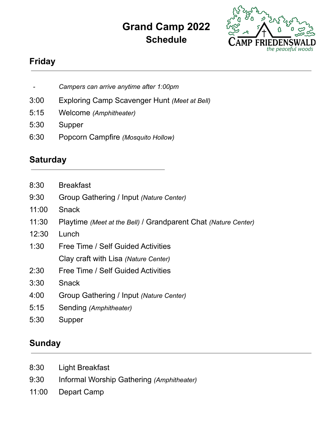## **Grand Camp 2022 Schedule**



## **Friday**

- *- Campers can arrive anytime after 1:00pm*
- 3:00 Exploring Camp Scavenger Hunt *(Meet at Bell)*
- 5:15 Welcome *(Amphitheater)*
- 5:30 Supper
- 6:30 Popcorn Campfire *(Mosquito Hollow)*

## **Saturday**

- 8:30 Breakfast
- 9:30 Group Gathering / Input *(Nature Center)*
- 11:00 Snack
- 11:30 Playtime *(Meet at the Bell)* / Grandparent Chat *(Nature Center)*
- 12:30 Lunch
- 1:30 Free Time / Self Guided Activities Clay craft with Lisa *(Nature Center)*
- 2:30 Free Time / Self Guided Activities
- 3:30 Snack
- 4:00 Group Gathering / Input *(Nature Center)*
- 5:15 Sending *(Amphitheater)*
- 5:30 Supper

#### **Sunday**

- 8:30 Light Breakfast
- 9:30 Informal Worship Gathering *(Amphitheater)*
- 11:00 Depart Camp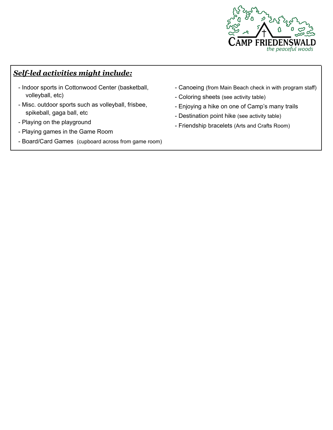

#### *Self-led activities might include:*

- Indoor sports in Cottonwood Center (basketball, volleyball, etc)
- Misc. outdoor sports such as volleyball, frisbee, spikeball, gaga ball, etc
- Playing on the playground
- Playing games in the Game Room
- Board/Card Games (cupboard across from game room)
- Canoeing (from Main Beach check in with program staff)
- Coloring sheets (see activity table)
- Enjoying a hike on one of Camp's many trails
- Destination point hike (see activity table)
- Friendship bracelets (Arts and Crafts Room)